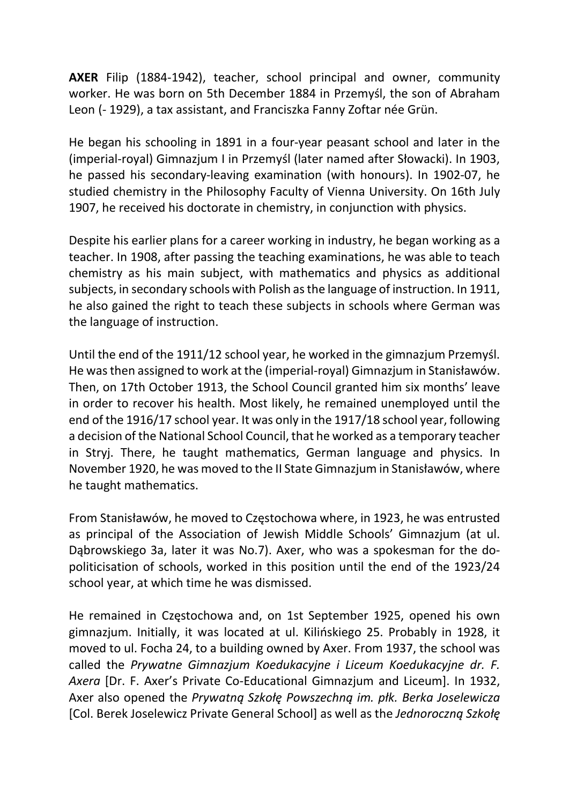AXER Filip (1884-1942), teacher, school principal and owner, community worker. He was born on 5th December 1884 in Przemyśl, the son of Abraham Leon (- 1929), a tax assistant, and Franciszka Fanny Zoftar née Grün.

He began his schooling in 1891 in a four-year peasant school and later in the (imperial-royal) Gimnazjum I in Przemyśl (later named after Słowacki). In 1903, he passed his secondary-leaving examination (with honours). In 1902-07, he studied chemistry in the Philosophy Faculty of Vienna University. On 16th July 1907, he received his doctorate in chemistry, in conjunction with physics.

Despite his earlier plans for a career working in industry, he began working as a teacher. In 1908, after passing the teaching examinations, he was able to teach chemistry as his main subject, with mathematics and physics as additional subjects, in secondary schools with Polish as the language of instruction. In 1911, he also gained the right to teach these subjects in schools where German was the language of instruction.

Until the end of the 1911/12 school year, he worked in the gimnazjum Przemyśl. He was then assigned to work at the (imperial-royal) Gimnazjum in Stanisławów. Then, on 17th October 1913, the School Council granted him six months' leave in order to recover his health. Most likely, he remained unemployed until the end of the 1916/17 school year. It was only in the 1917/18 school year, following a decision of the National School Council, that he worked as a temporary teacher in Stryj. There, he taught mathematics, German language and physics. In November 1920, he was moved to the II State Gimnazjum in Stanisławów, where he taught mathematics.

From Stanisławów, he moved to Częstochowa where, in 1923, he was entrusted as principal of the Association of Jewish Middle Schools' Gimnazjum (at ul. Dąbrowskiego 3a, later it was No.7). Axer, who was a spokesman for the dopoliticisation of schools, worked in this position until the end of the 1923/24 school year, at which time he was dismissed.

He remained in Częstochowa and, on 1st September 1925, opened his own gimnazjum. Initially, it was located at ul. Kilińskiego 25. Probably in 1928, it moved to ul. Focha 24, to a building owned by Axer. From 1937, the school was called the Prywatne Gimnazjum Koedukacyjne i Liceum Koedukacyjne dr. F. Axera [Dr. F. Axer's Private Co-Educational Gimnazjum and Liceum]. In 1932, Axer also opened the Prywatną Szkołę Powszechną im. płk. Berka Joselewicza [Col. Berek Joselewicz Private General School] as well as the Jednoroczną Szkołę